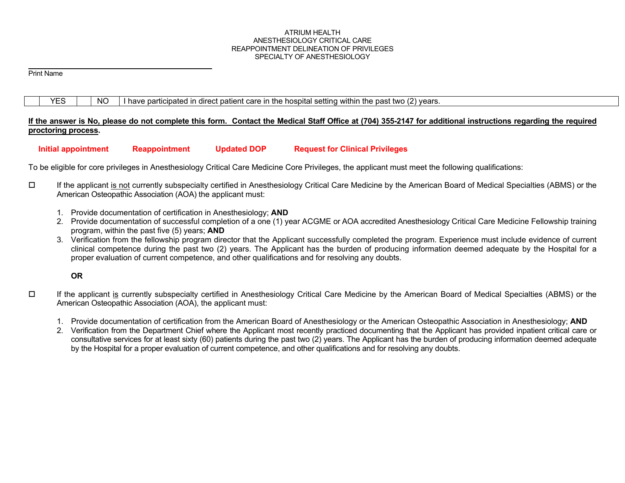#### ATRIUM HEALTH ANESTHESIOLOGY CRITICAL CARE REAPPOINTMENT DELINEATION OF PRIVILEGES SPECIALTY OF ANESTHESIOLOGY

Print Name

|  |  |  | NC |  | I have participated in direct patient care in the hospital setting within the past two (2) years. |
|--|--|--|----|--|---------------------------------------------------------------------------------------------------|
|--|--|--|----|--|---------------------------------------------------------------------------------------------------|

## **If the answer is No, please do not complete this form. Contact the Medical Staff Office at (704) 355-2147 for additional instructions regarding the required proctoring process.**

### **Initial appointment Reappointment Updated DOP Request for Clinical Privileges**

To be eligible for core privileges in Anesthesiology Critical Care Medicine Core Privileges, the applicant must meet the following qualifications:

- If the applicant is not currently subspecialty certified in Anesthesiology Critical Care Medicine by the American Board of Medical Specialties (ABMS) or the American Osteopathic Association (AOA) the applicant must:
	- 1. Provide documentation of certification in Anesthesiology; **AND**
	- 2. Provide documentation of successful completion of a one (1) year ACGME or AOA accredited Anesthesiology Critical Care Medicine Fellowship training program, within the past five (5) years; **AND**
	- 3. Verification from the fellowship program director that the Applicant successfully completed the program. Experience must include evidence of current clinical competence during the past two (2) years. The Applicant has the burden of producing information deemed adequate by the Hospital for a proper evaluation of current competence, and other qualifications and for resolving any doubts.

# **OR**

- $\Box$  If the applicant is currently subspecialty certified in Anesthesiology Critical Care Medicine by the American Board of Medical Specialties (ABMS) or the American Osteopathic Association (AOA), the applicant must:
	- 1. Provide documentation of certification from the American Board of Anesthesiology or the American Osteopathic Association in Anesthesiology; **AND**
	- 2. Verification from the Department Chief where the Applicant most recently practiced documenting that the Applicant has provided inpatient critical care or consultative services for at least sixty (60) patients during the past two (2) years. The Applicant has the burden of producing information deemed adequate by the Hospital for a proper evaluation of current competence, and other qualifications and for resolving any doubts.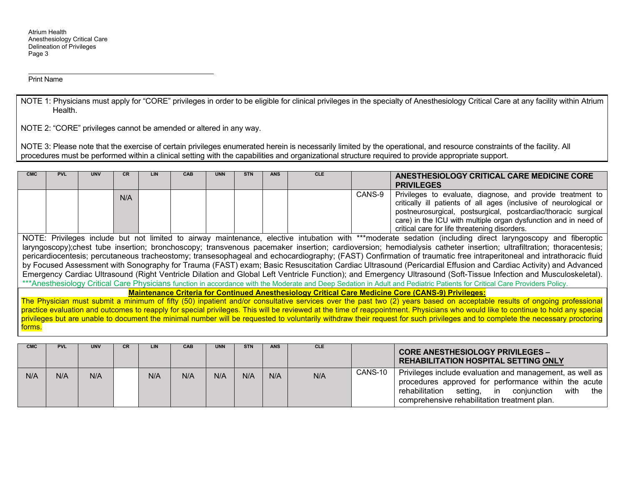Atrium Health Anesthesiology Critical Care Delineation of Privileges Page 3

Print Name

NOTE 1: Physicians must apply for "CORE" privileges in order to be eligible for clinical privileges in the specialty of Anesthesiology Critical Care at any facility within Atrium Health.

NOTE 2: "CORE" privileges cannot be amended or altered in any way.

NOTE 3: Please note that the exercise of certain privileges enumerated herein is necessarily limited by the operational, and resource constraints of the facility. All procedures must be performed within a clinical setting with the capabilities and organizational structure required to provide appropriate support.

| <b>CMC</b> | <b>PVL</b> | <b>UNV</b> | CR. | <b>LIN</b> | <b>CAB</b> | <b>UNN</b> | <b>STN</b> | <b>ANS</b> | <b>CLE</b> |        | ANESTHESIOLOGY CRITICAL CARE MEDICINE CORE<br><b>PRIVILEGES</b>                                                                                                                                                                                                                                                       |
|------------|------------|------------|-----|------------|------------|------------|------------|------------|------------|--------|-----------------------------------------------------------------------------------------------------------------------------------------------------------------------------------------------------------------------------------------------------------------------------------------------------------------------|
|            |            |            | N/A |            |            |            |            |            |            | CANS-9 | Privileges to evaluate, diagnose, and provide treatment to<br>critically ill patients of all ages (inclusive of neurological or<br>postneurosurgical, postsurgical, postcardiac/thoracic surgical<br>care) in the ICU with multiple organ dysfunction and in need of<br>critical care for life threatening disorders. |

NOTE: Privileges include but not limited to airway maintenance, elective intubation with \*\*\*moderate sedation (including direct laryngoscopy and fiberoptic laryngoscopy);chest tube insertion; bronchoscopy; transvenous pacemaker insertion; cardioversion; hemodialysis catheter insertion; ultrafiltration; thoracentesis; pericardiocentesis; percutaneous tracheostomy; transesophageal and echocardiography; (FAST) Confirmation of traumatic free intraperitoneal and intrathoracic fluid by Focused Assessment with Sonography for Trauma (FAST) exam; Basic Resuscitation Cardiac Ultrasound (Pericardial Effusion and Cardiac Activity) and Advanced Emergency Cardiac Ultrasound (Right Ventricle Dilation and Global Left Ventricle Function); and Emergency Ultrasound (Soft-Tissue Infection and Musculoskeletal). \*\*\*Anesthesiology Critical Care Physicians function in accordance with the Moderate and Deep Sedation in Adult and Pediatric Patients for Critical Care Providers Policy.

**Maintenance Criteria for Continued Anesthesiology Critical Care Medicine Core (CANS-9) Privileges:** 

The Physician must submit a minimum of fifty (50) inpatient and/or consultative services over the past two (2) years based on acceptable results of ongoing professional practice evaluation and outcomes to reapply for special privileges. This will be reviewed at the time of reappointment. Physicians who would like to continue to hold any special privileges but are unable to document the minimal number will be requested to voluntarily withdraw their request for such privileges and to complete the necessary proctoring forms.

| <b>CMC</b> | <b>PVL</b> | <b>UNV</b> | CR. | LIN | <b>CAB</b> | <b>UNN</b> | <b>STN</b> | <b>ANS</b> | <b>CLE</b> |         | <b>CORE ANESTHESIOLOGY PRIVILEGES -</b><br><b>REHABILITATION HOSPITAL SETTING ONLY</b>                                                                                                                                          |
|------------|------------|------------|-----|-----|------------|------------|------------|------------|------------|---------|---------------------------------------------------------------------------------------------------------------------------------------------------------------------------------------------------------------------------------|
| N/A        | N/A        | N/A        |     | N/A | N/A        | N/A        | N/A        | N/A        | N/A        | CANS-10 | Privileges include evaluation and management, as well as<br>procedures approved for performance within the acute<br>with<br>rehabilitation<br>setting, in<br>the<br>coniunction<br>comprehensive rehabilitation treatment plan. |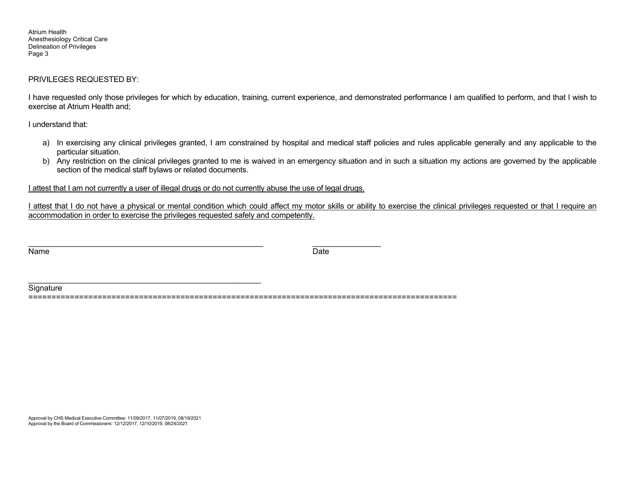Atrium Health Anesthesiology Critical Care Delineation of Privileges Page 3

### PRIVILEGES REQUESTED BY:

I have requested only those privileges for which by education, training, current experience, and demonstrated performance I am qualified to perform, and that I wish to exercise at Atrium Health and;

I understand that:

- a) In exercising any clinical privileges granted, I am constrained by hospital and medical staff policies and rules applicable generally and any applicable to the particular situation.
- b) Any restriction on the clinical privileges granted to me is waived in an emergency situation and in such a situation my actions are governed by the applicable section of the medical staff bylaws or related documents.

I attest that I am not currently a user of illegal drugs or do not currently abuse the use of legal drugs.

I attest that I do not have a physical or mental condition which could affect my motor skills or ability to exercise the clinical privileges requested or that I require an accommodation in order to exercise the privileges requested safely and competently.

Name Date

**Signature** 

=============================================================================================

Approval by CHS Medical Executive Committee: 11/09/2017, 11/07/2019, 08/19/2021 Approval by the Board of Commissioners: 12/12/2017, 12/10/2019, 08/24/2021